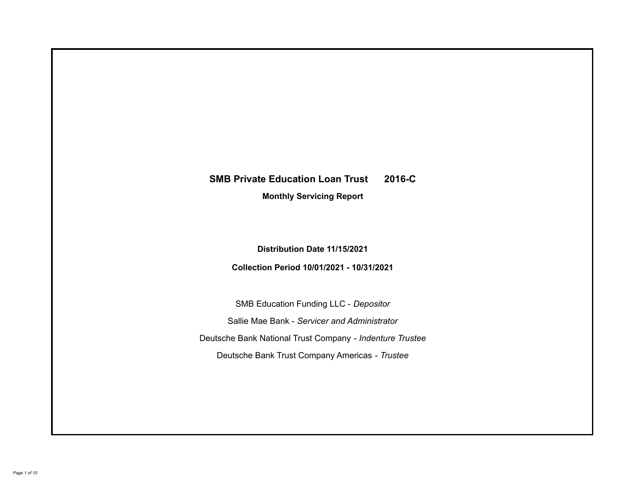# **SMB Private Education Loan Trust 2016-C**

**Monthly Servicing Report**

**Distribution Date 11/15/2021**

**Collection Period 10/01/2021 - 10/31/2021**

SMB Education Funding LLC - *Depositor* Sallie Mae Bank - *Servicer and Administrator* Deutsche Bank National Trust Company - *Indenture Trustee* Deutsche Bank Trust Company Americas - *Trustee*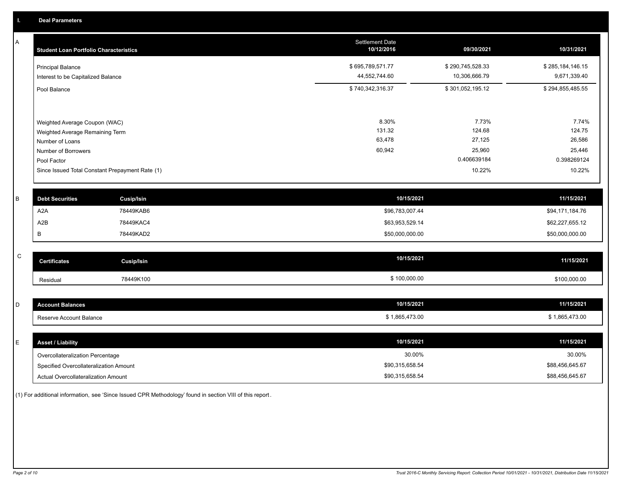A

| A | <b>Student Loan Portfolio Characteristics</b>                  |                                                 | Settlement Date<br>10/12/2016     | 09/30/2021                        | 10/31/2021                       |
|---|----------------------------------------------------------------|-------------------------------------------------|-----------------------------------|-----------------------------------|----------------------------------|
|   | <b>Principal Balance</b><br>Interest to be Capitalized Balance |                                                 | \$695,789,571.77<br>44,552,744.60 | \$290,745,528.33<br>10,306,666.79 | \$285,184,146.15<br>9,671,339.40 |
|   | Pool Balance                                                   |                                                 | \$740,342,316.37                  | \$301,052,195.12                  | \$294,855,485.55                 |
|   | Weighted Average Coupon (WAC)                                  |                                                 | 8.30%                             | 7.73%                             | 7.74%                            |
|   | Weighted Average Remaining Term                                |                                                 | 131.32                            | 124.68                            | 124.75                           |
|   | Number of Loans                                                |                                                 | 63,478                            | 27,125                            | 26,586                           |
|   | Number of Borrowers                                            |                                                 | 60,942                            | 25,960                            | 25,446                           |
|   | Pool Factor                                                    |                                                 |                                   | 0.406639184                       | 0.398269124                      |
|   |                                                                | Since Issued Total Constant Prepayment Rate (1) |                                   | 10.22%                            | 10.22%                           |
|   |                                                                |                                                 |                                   |                                   |                                  |
| B | <b>Debt Securities</b>                                         | <b>Cusip/Isin</b>                               |                                   | 10/15/2021                        | 11/15/2021                       |
|   | A <sub>2</sub> A                                               | 78449KAB6                                       |                                   | \$96,783,007.44                   | \$94,171,184.76                  |
|   | A2B                                                            | 78449KAC4                                       |                                   | \$63,953,529.14                   | \$62,227,655.12                  |
|   | В                                                              | 78449KAD2                                       |                                   | \$50,000,000.00                   | \$50,000,000.00                  |
|   |                                                                |                                                 |                                   |                                   |                                  |

| $\sim$<br>◡ | <b>Certificates</b> | Cusip/Isin | 10/15/2021   | 11/15/2021   |
|-------------|---------------------|------------|--------------|--------------|
|             | Residual            | 78449K100  | \$100,000.00 | \$100,000.00 |

| $\sim$<br>◡ | unt Balances<br>Accol   | 10/15/2021   | 11/15/2021   |
|-------------|-------------------------|--------------|--------------|
|             | Reserve Account Balance | 1,865,473.00 | 1.805.473.00 |

| <b>Asset / Liability</b>               | 10/15/2021      | 11/15/2021      |
|----------------------------------------|-----------------|-----------------|
| Overcollateralization Percentage       | 30.00%          | 30.00%          |
| Specified Overcollateralization Amount | \$90,315,658.54 | \$88,456,645.67 |
| Actual Overcollateralization Amount    | \$90,315,658.54 | \$88,456,645.67 |

(1) For additional information, see 'Since Issued CPR Methodology' found in section VIII of this report .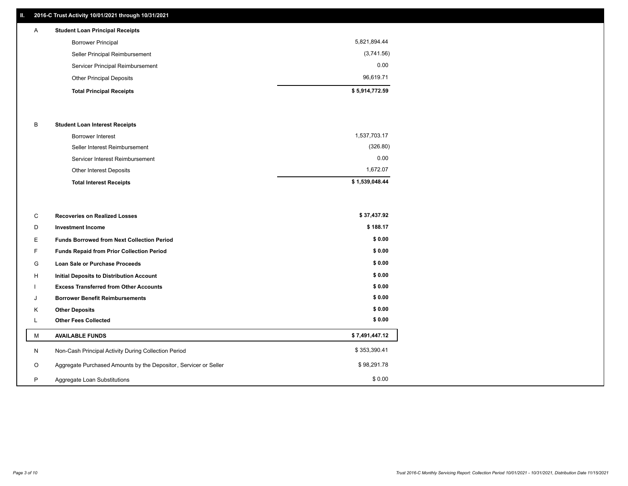## **II. 2016-C Trust Activity 10/01/2021 through 10/31/2021**

## Other Principal Deposits 96,619.71 Servicer Principal Reimbursement 0.00 Seller Principal Reimbursement (3,741.56) Borrower Principal 5,821,894.44 A **Student Loan Principal Receipts**

### B **Student Loan Interest Receipts**

| <b>Total Interest Receipts</b>  | \$1,539,048.44 |
|---------------------------------|----------------|
| Other Interest Deposits         | 1.672.07       |
| Servicer Interest Reimbursement | 0.00           |
| Seller Interest Reimbursement   | (326.80)       |
| Borrower Interest               | 1,537,703.17   |

| C  | <b>Recoveries on Realized Losses</b>                             | \$37,437.92    |
|----|------------------------------------------------------------------|----------------|
| D  | <b>Investment Income</b>                                         | \$188.17       |
| E. | <b>Funds Borrowed from Next Collection Period</b>                | \$0.00         |
| F. | Funds Repaid from Prior Collection Period                        | \$0.00         |
| G  | Loan Sale or Purchase Proceeds                                   | \$0.00         |
| H  | <b>Initial Deposits to Distribution Account</b>                  | \$0.00         |
|    | <b>Excess Transferred from Other Accounts</b>                    | \$0.00         |
| J  | <b>Borrower Benefit Reimbursements</b>                           | \$0.00         |
| Κ  | <b>Other Deposits</b>                                            | \$0.00         |
| L  | <b>Other Fees Collected</b>                                      | \$0.00         |
| м  | <b>AVAILABLE FUNDS</b>                                           | \$7,491,447.12 |
| N  | Non-Cash Principal Activity During Collection Period             | \$353,390.41   |
| O  | Aggregate Purchased Amounts by the Depositor, Servicer or Seller | \$98,291.78    |
| P  | Aggregate Loan Substitutions                                     | \$0.00         |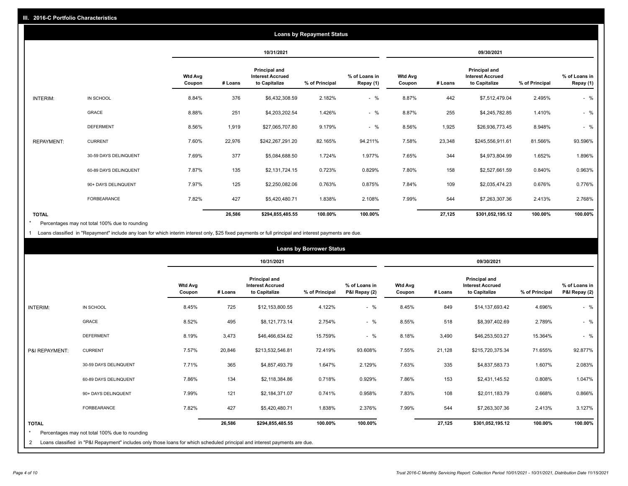| <b>Loans by Repayment Status</b> |                       |                          |            |                                                           |                |                            |                          |         |                                                           |                |                            |
|----------------------------------|-----------------------|--------------------------|------------|-----------------------------------------------------------|----------------|----------------------------|--------------------------|---------|-----------------------------------------------------------|----------------|----------------------------|
|                                  |                       |                          | 10/31/2021 |                                                           |                |                            | 09/30/2021               |         |                                                           |                |                            |
|                                  |                       | <b>Wtd Avg</b><br>Coupon | # Loans    | Principal and<br><b>Interest Accrued</b><br>to Capitalize | % of Principal | % of Loans in<br>Repay (1) | <b>Wtd Avg</b><br>Coupon | # Loans | Principal and<br><b>Interest Accrued</b><br>to Capitalize | % of Principal | % of Loans in<br>Repay (1) |
| INTERIM:                         | IN SCHOOL             | 8.84%                    | 376        | \$6,432,308.59                                            | 2.182%         | $-$ %                      | 8.87%                    | 442     | \$7,512,479.04                                            | 2.495%         | $-$ %                      |
|                                  | GRACE                 | 8.88%                    | 251        | \$4,203,202.54                                            | 1.426%         | $-$ %                      | 8.87%                    | 255     | \$4,245,782.85                                            | 1.410%         | $-$ %                      |
|                                  | <b>DEFERMENT</b>      | 8.56%                    | 1,919      | \$27,065,707.80                                           | 9.179%         | $-$ %                      | 8.56%                    | 1,925   | \$26,936,773.45                                           | 8.948%         | $-$ %                      |
| <b>REPAYMENT:</b>                | <b>CURRENT</b>        | 7.60%                    | 22,976     | \$242,267,291.20                                          | 82.165%        | 94.211%                    | 7.58%                    | 23,348  | \$245,556,911.61                                          | 81.566%        | 93.596%                    |
|                                  | 30-59 DAYS DELINQUENT | 7.69%                    | 377        | \$5,084,688.50                                            | 1.724%         | 1.977%                     | 7.65%                    | 344     | \$4,973,804.99                                            | 1.652%         | 1.896%                     |
|                                  | 60-89 DAYS DELINQUENT | 7.87%                    | 135        | \$2,131,724.15                                            | 0.723%         | 0.829%                     | 7.80%                    | 158     | \$2,527,661.59                                            | 0.840%         | 0.963%                     |
|                                  | 90+ DAYS DELINQUENT   | 7.97%                    | 125        | \$2,250,082.06                                            | 0.763%         | 0.875%                     | 7.84%                    | 109     | \$2,035,474.23                                            | 0.676%         | 0.776%                     |
|                                  | FORBEARANCE           | 7.82%                    | 427        | \$5,420,480.71                                            | 1.838%         | 2.108%                     | 7.99%                    | 544     | \$7,263,307.36                                            | 2.413%         | 2.768%                     |
| <b>TOTAL</b>                     |                       |                          | 26,586     | \$294,855,485.55                                          | 100.00%        | 100.00%                    |                          | 27,125  | \$301,052,195.12                                          | 100.00%        | 100.00%                    |

Percentages may not total 100% due to rounding \*

1 Loans classified in "Repayment" include any loan for which interim interest only, \$25 fixed payments or full principal and interest payments are due.

|                              | <b>Loans by Borrower Status</b>                                                                                                                                              |                          |            |                                                                  |                |                                |                          |         |                                                                  |                |                                |
|------------------------------|------------------------------------------------------------------------------------------------------------------------------------------------------------------------------|--------------------------|------------|------------------------------------------------------------------|----------------|--------------------------------|--------------------------|---------|------------------------------------------------------------------|----------------|--------------------------------|
|                              |                                                                                                                                                                              |                          | 10/31/2021 |                                                                  |                |                                | 09/30/2021               |         |                                                                  |                |                                |
|                              |                                                                                                                                                                              | <b>Wtd Avg</b><br>Coupon | # Loans    | <b>Principal and</b><br><b>Interest Accrued</b><br>to Capitalize | % of Principal | % of Loans in<br>P&I Repay (2) | <b>Wtd Avg</b><br>Coupon | # Loans | <b>Principal and</b><br><b>Interest Accrued</b><br>to Capitalize | % of Principal | % of Loans in<br>P&I Repay (2) |
| INTERIM:                     | IN SCHOOL                                                                                                                                                                    | 8.45%                    | 725        | \$12,153,800.55                                                  | 4.122%         | $-$ %                          | 8.45%                    | 849     | \$14,137,693.42                                                  | 4.696%         | $-$ %                          |
|                              | GRACE                                                                                                                                                                        | 8.52%                    | 495        | \$8,121,773.14                                                   | 2.754%         | $-$ %                          | 8.55%                    | 518     | \$8,397,402.69                                                   | 2.789%         | $-$ %                          |
|                              | <b>DEFERMENT</b>                                                                                                                                                             | 8.19%                    | 3,473      | \$46,466,634.62                                                  | 15.759%        | $-$ %                          | 8.18%                    | 3,490   | \$46,253,503.27                                                  | 15.364%        | $-$ %                          |
| P&I REPAYMENT:               | <b>CURRENT</b>                                                                                                                                                               | 7.57%                    | 20,846     | \$213,532,546.81                                                 | 72.419%        | 93.608%                        | 7.55%                    | 21,128  | \$215,720,375.34                                                 | 71.655%        | 92.877%                        |
|                              | 30-59 DAYS DELINQUENT                                                                                                                                                        | 7.71%                    | 365        | \$4,857,493.79                                                   | 1.647%         | 2.129%                         | 7.63%                    | 335     | \$4,837,583.73                                                   | 1.607%         | 2.083%                         |
|                              | 60-89 DAYS DELINQUENT                                                                                                                                                        | 7.86%                    | 134        | \$2,118,384.86                                                   | 0.718%         | 0.929%                         | 7.86%                    | 153     | \$2,431,145.52                                                   | 0.808%         | 1.047%                         |
|                              | 90+ DAYS DELINQUENT                                                                                                                                                          | 7.99%                    | 121        | \$2,184,371.07                                                   | 0.741%         | 0.958%                         | 7.83%                    | 108     | \$2,011,183.79                                                   | 0.668%         | 0.866%                         |
|                              | <b>FORBEARANCE</b>                                                                                                                                                           | 7.82%                    | 427        | \$5,420,480.71                                                   | 1.838%         | 2.376%                         | 7.99%                    | 544     | \$7,263,307.36                                                   | 2.413%         | 3.127%                         |
| <b>TOTAL</b><br>$\star$<br>2 | Percentages may not total 100% due to rounding<br>Loans classified in "P&I Repayment" includes only those loans for which scheduled principal and interest payments are due. |                          | 26,586     | \$294,855,485.55                                                 | 100.00%        | 100.00%                        |                          | 27,125  | \$301,052,195.12                                                 | 100.00%        | 100.00%                        |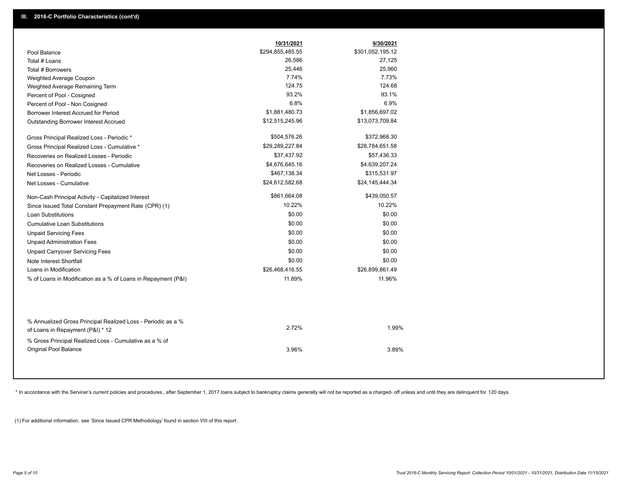|                                                                                        | 10/31/2021       | 9/30/2021        |
|----------------------------------------------------------------------------------------|------------------|------------------|
| Pool Balance                                                                           | \$294,855,485.55 | \$301,052,195.12 |
| Total # Loans                                                                          | 26,586           | 27,125           |
| Total # Borrowers                                                                      | 25,446           | 25,960           |
| Weighted Average Coupon                                                                | 7.74%            | 7.73%            |
| Weighted Average Remaining Term                                                        | 124.75           | 124.68           |
| Percent of Pool - Cosigned                                                             | 93.2%            | 93.1%            |
| Percent of Pool - Non Cosigned                                                         | 6.8%             | 6.9%             |
| Borrower Interest Accrued for Period                                                   | \$1,881,480.73   | \$1,856,697.02   |
| Outstanding Borrower Interest Accrued                                                  | \$12,515,245.96  | \$13,073,709.84  |
| Gross Principal Realized Loss - Periodic *                                             | \$504,576.26     | \$372,968.30     |
| Gross Principal Realized Loss - Cumulative *                                           | \$29,289,227.84  | \$28,784,651.58  |
| Recoveries on Realized Losses - Periodic                                               | \$37,437.92      | \$57,436.33      |
| Recoveries on Realized Losses - Cumulative                                             | \$4,676,645.16   | \$4,639,207.24   |
| Net Losses - Periodic                                                                  | \$467,138.34     | \$315,531.97     |
| Net Losses - Cumulative                                                                | \$24,612,582.68  | \$24,145,444.34  |
| Non-Cash Principal Activity - Capitalized Interest                                     | \$861,664.08     | \$439,050.57     |
| Since Issued Total Constant Prepayment Rate (CPR) (1)                                  | 10.22%           | 10.22%           |
| <b>Loan Substitutions</b>                                                              | \$0.00           | \$0.00           |
| <b>Cumulative Loan Substitutions</b>                                                   | \$0.00           | \$0.00           |
| <b>Unpaid Servicing Fees</b>                                                           | \$0.00           | \$0.00           |
| <b>Unpaid Administration Fees</b>                                                      | \$0.00           | \$0.00           |
| <b>Unpaid Carryover Servicing Fees</b>                                                 | \$0.00           | \$0.00           |
| Note Interest Shortfall                                                                | \$0.00           | \$0.00           |
| Loans in Modification                                                                  | \$26,468,416.55  | \$26,899,861.49  |
| % of Loans in Modification as a % of Loans in Repayment (P&I)                          | 11.89%           | 11.96%           |
| % Annualized Gross Principal Realized Loss - Periodic as a %                           | 2.72%            | 1.99%            |
| of Loans in Repayment (P&I) * 12                                                       |                  |                  |
| % Gross Principal Realized Loss - Cumulative as a % of<br><b>Original Pool Balance</b> | 3.96%            | 3.89%            |

\* In accordance with the Servicer's current policies and procedures, after September 1, 2017 loans subject to bankruptcy claims generally will not be reported as a charged- off unless and until they are delinquent for 120

(1) For additional information, see 'Since Issued CPR Methodology' found in section VIII of this report .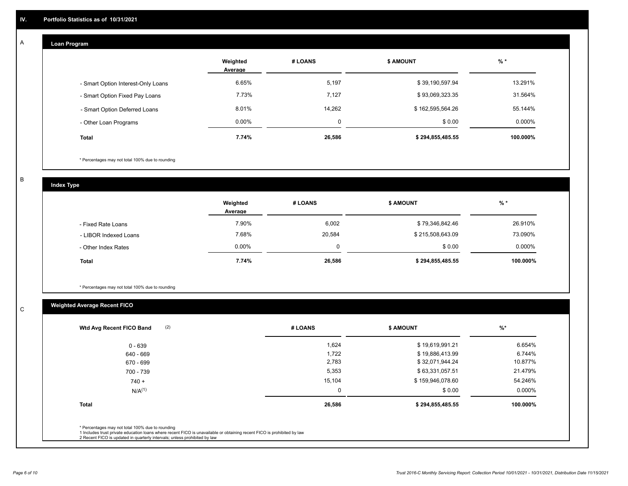#### **Loan Program**  A

|                                    | Weighted<br>Average | # LOANS | <b>\$ AMOUNT</b> | $%$ *    |
|------------------------------------|---------------------|---------|------------------|----------|
| - Smart Option Interest-Only Loans | 6.65%               | 5,197   | \$39,190,597.94  | 13.291%  |
| - Smart Option Fixed Pay Loans     | 7.73%               | 7.127   | \$93,069,323.35  | 31.564%  |
| - Smart Option Deferred Loans      | 8.01%               | 14.262  | \$162,595,564.26 | 55.144%  |
| - Other Loan Programs              | $0.00\%$            |         | \$0.00           | 0.000%   |
| <b>Total</b>                       | 7.74%               | 26,586  | \$294,855,485.55 | 100.000% |

\* Percentages may not total 100% due to rounding

B

C

**Index Type**

|                       | Weighted<br>Average | # LOANS | <b>\$ AMOUNT</b> | $%$ *     |
|-----------------------|---------------------|---------|------------------|-----------|
| - Fixed Rate Loans    | 7.90%               | 6,002   | \$79,346,842.46  | 26.910%   |
| - LIBOR Indexed Loans | 7.68%               | 20,584  | \$215,508,643.09 | 73.090%   |
| - Other Index Rates   | $0.00\%$            |         | \$0.00           | $0.000\%$ |
| <b>Total</b>          | 7.74%               | 26,586  | \$294,855,485.55 | 100.000%  |

\* Percentages may not total 100% due to rounding

## **Weighted Average Recent FICO**

| (2)<br>Wtd Avg Recent FICO Band | # LOANS  | <b>S AMOUNT</b>  | %         |
|---------------------------------|----------|------------------|-----------|
| $0 - 639$                       | 1,624    | \$19,619,991.21  | 6.654%    |
| 640 - 669                       | 1,722    | \$19,886,413.99  | 6.744%    |
| 670 - 699                       | 2,783    | \$32,071,944.24  | 10.877%   |
| 700 - 739                       | 5,353    | \$63,331,057.51  | 21.479%   |
| $740 +$                         | 15,104   | \$159,946,078.60 | 54.246%   |
| $N/A^{(1)}$                     | $\Omega$ | \$0.00           | $0.000\%$ |
| <b>Total</b>                    | 26,586   | \$294,855,485.55 | 100.000%  |
|                                 |          |                  |           |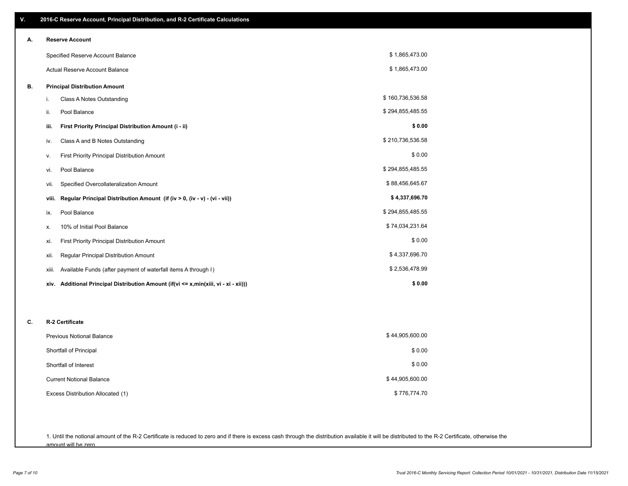| ٧. | 2016-C Reserve Account, Principal Distribution, and R-2 Certificate Calculations     |                  |  |
|----|--------------------------------------------------------------------------------------|------------------|--|
| А. | <b>Reserve Account</b>                                                               |                  |  |
|    | Specified Reserve Account Balance                                                    | \$1,865,473.00   |  |
|    | Actual Reserve Account Balance                                                       | \$1,865,473.00   |  |
| В. | <b>Principal Distribution Amount</b>                                                 |                  |  |
|    | i.<br>Class A Notes Outstanding                                                      | \$160,736,536.58 |  |
|    | Pool Balance<br>ii.                                                                  | \$294,855,485.55 |  |
|    | First Priority Principal Distribution Amount (i - ii)<br>iii.                        | \$0.00           |  |
|    | Class A and B Notes Outstanding<br>iv.                                               | \$210,736,536.58 |  |
|    | First Priority Principal Distribution Amount<br>٧.                                   | \$0.00           |  |
|    | Pool Balance<br>vi.                                                                  | \$294,855,485.55 |  |
|    | Specified Overcollateralization Amount<br>vii.                                       | \$88,456,645.67  |  |
|    | Regular Principal Distribution Amount (if (iv > 0, (iv - v) - (vi - vii))<br>viii.   | \$4,337,696.70   |  |
|    | Pool Balance<br>ix.                                                                  | \$294,855,485.55 |  |
|    | 10% of Initial Pool Balance<br>х.                                                    | \$74,034,231.64  |  |
|    | <b>First Priority Principal Distribution Amount</b><br>xi.                           | \$0.00           |  |
|    | Regular Principal Distribution Amount<br>xii.                                        | \$4,337,696.70   |  |
|    | Available Funds (after payment of waterfall items A through I)<br>xiii.              | \$2,536,478.99   |  |
|    | xiv. Additional Principal Distribution Amount (if(vi <= x,min(xiii, vi - xi - xii))) | \$0.00           |  |
|    |                                                                                      |                  |  |
| C. | R-2 Certificate                                                                      |                  |  |
|    | \$44,905,600.00<br>Previous Notional Balance                                         |                  |  |
|    | Shortfall of Principal                                                               | \$0.00           |  |
|    | Shortfall of Interest                                                                | \$0.00           |  |
|    | <b>Current Notional Balance</b>                                                      | \$44,905,600.00  |  |
|    | Excess Distribution Allocated (1)                                                    | \$776,774.70     |  |
|    |                                                                                      |                  |  |

1. Until the notional amount of the R-2 Certificate is reduced to zero and if there is excess cash through the distribution available it will be distributed to the R-2 Certificate, otherwise the amount will be zero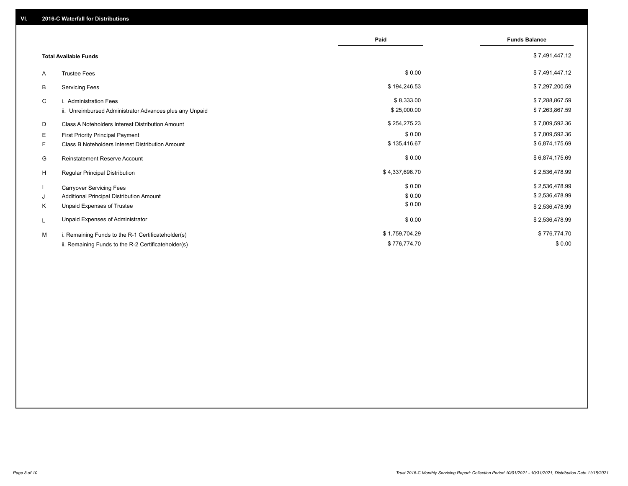|                                                         | Paid           | <b>Funds Balance</b> |
|---------------------------------------------------------|----------------|----------------------|
| <b>Total Available Funds</b>                            |                | \$7,491,447.12       |
| <b>Trustee Fees</b><br>A                                | \$0.00         | \$7,491,447.12       |
| В<br><b>Servicing Fees</b>                              | \$194,246.53   | \$7,297,200.59       |
| C<br>i. Administration Fees                             | \$8,333.00     | \$7,288,867.59       |
| ii. Unreimbursed Administrator Advances plus any Unpaid | \$25,000.00    | \$7,263,867.59       |
| Class A Noteholders Interest Distribution Amount<br>D   | \$254,275.23   | \$7,009,592.36       |
| Е<br><b>First Priority Principal Payment</b>            | \$0.00         | \$7,009,592.36       |
| F.<br>Class B Noteholders Interest Distribution Amount  | \$135,416.67   | \$6,874,175.69       |
| G<br><b>Reinstatement Reserve Account</b>               | \$0.00         | \$6,874,175.69       |
| H<br>Regular Principal Distribution                     | \$4,337,696.70 | \$2,536,478.99       |
| <b>Carryover Servicing Fees</b>                         | \$0.00         | \$2,536,478.99       |
| Additional Principal Distribution Amount<br>J           | \$0.00         | \$2,536,478.99       |
| Unpaid Expenses of Trustee<br>Κ                         | \$0.00         | \$2,536,478.99       |
| Unpaid Expenses of Administrator<br>L                   | \$0.00         | \$2,536,478.99       |
| M<br>i. Remaining Funds to the R-1 Certificateholder(s) | \$1,759,704.29 | \$776,774.70         |
| ii. Remaining Funds to the R-2 Certificateholder(s)     | \$776,774.70   | \$0.00               |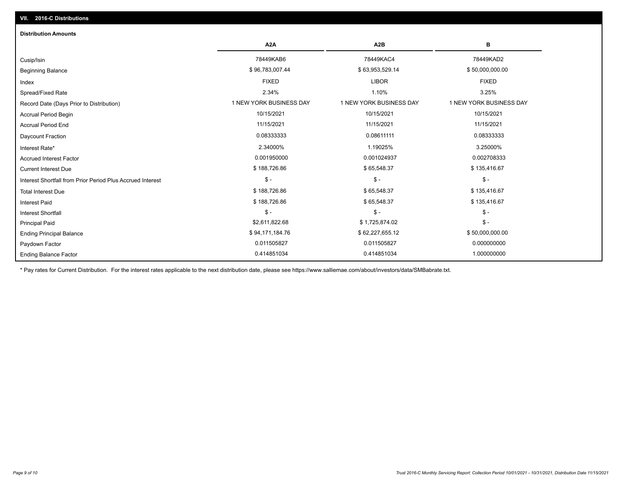## Ending Balance Factor Paydown Factor 0.011505827 0.011505827 0.000000000 Ending Principal Balance \$50,000,000.00 \$894,171,184.76 \$94,171,184.76 \$62,227,655.12 \$50,000,000.00 \$50,000,000 Principal Paid \$2,611,822.68 \$ 1,725,874.02 \$ - \$ - \$ - \$ - Interest Shortfall \$ 188,726.86 \$ 65,548.37 \$ 135,416.67 Interest Paid Total Interest Due \$ 188,726.86 \$ 65,548.37 \$ 135,416.67 \$ 135,416.67 \$ 135,416.67 \$ - \$ - \$ - Interest Shortfall from Prior Period Plus Accrued Interest  $Current Interest Due$  \$ 188,726.86  $$ 65,548.37$  \$ 135,416.67 Accrued Interest Factor **0.002708333** 0.001950000 0.001024937 0.001024937 0.002708333 Interest Rate\* 2.34000% 1.19025% 3.25000% Daycount Fraction 0.08333333 0.08611111 0.08333333 Accrual Period End 11/15/2021 11/15/2021 11/15/2021 Accrual Period Begin 10/15/2021 10/15/2021 10/15/2021 Record Date (Days Prior to Distribution) **1 NEW YORK BUSINESS DAY** 1 NEW YORK BUSINESS DAY 1 NEW YORK BUSINESS DAY Spread/Fixed Rate 2.34% 1.10% 3.25% Index FIXED LIBOR FIXED Beginning Balance \$ 50,000,000.00 \$ \$96,783,007.44 \$ \$96,783,007.44 \$ \$63,953,529.14 \$ \$50,000,000.00 \$ \$50,000,000 Cusip/Isin 78449KAB6 78449KAC4 78449KAD2 **A2A A2B B** 0.414851034 0.414851034 1.000000000 **Distribution Amounts**

\* Pay rates for Current Distribution. For the interest rates applicable to the next distribution date, please see https://www.salliemae.com/about/investors/data/SMBabrate.txt.

**VII. 2016-C Distributions**